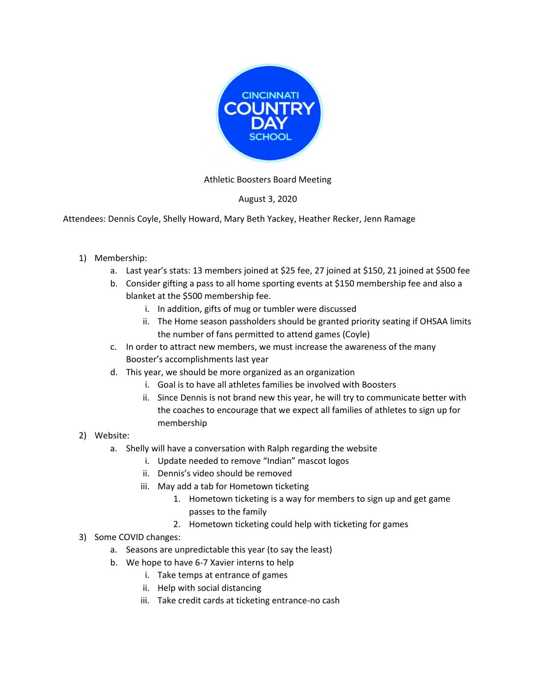

## Athletic Boosters Board Meeting

## August 3, 2020

Attendees: Dennis Coyle, Shelly Howard, Mary Beth Yackey, Heather Recker, Jenn Ramage

- 1) Membership:
	- a. Last year's stats: 13 members joined at \$25 fee, 27 joined at \$150, 21 joined at \$500 fee
	- b. Consider gifting a pass to all home sporting events at \$150 membership fee and also a blanket at the \$500 membership fee.
		- i. In addition, gifts of mug or tumbler were discussed
		- ii. The Home season passholders should be granted priority seating if OHSAA limits the number of fans permitted to attend games (Coyle)
	- c. In order to attract new members, we must increase the awareness of the many Booster's accomplishments last year
	- d. This year, we should be more organized as an organization
		- i. Goal is to have all athletes families be involved with Boosters
		- ii. Since Dennis is not brand new this year, he will try to communicate better with the coaches to encourage that we expect all families of athletes to sign up for membership
- 2) Website:
	- a. Shelly will have a conversation with Ralph regarding the website
		- i. Update needed to remove "Indian" mascot logos
		- ii. Dennis's video should be removed
		- iii. May add a tab for Hometown ticketing
			- 1. Hometown ticketing is a way for members to sign up and get game passes to the family
			- 2. Hometown ticketing could help with ticketing for games
- 3) Some COVID changes:
	- a. Seasons are unpredictable this year (to say the least)
	- b. We hope to have 6-7 Xavier interns to help
		- i. Take temps at entrance of games
		- ii. Help with social distancing
		- iii. Take credit cards at ticketing entrance-no cash